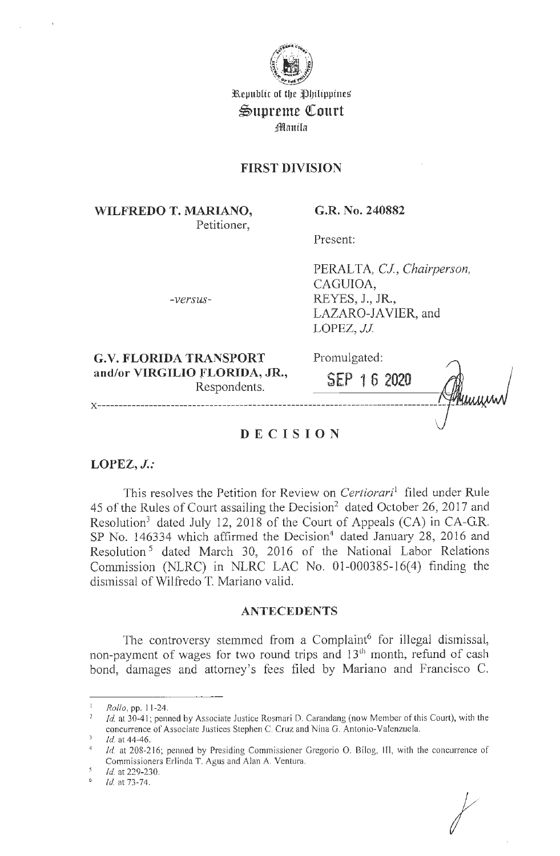

Republic of the Philippines  $\mathfrak{S}$ upreme Court ;§l!lm1tla

## **FIRST DIVISION**

**WILFREDO T. MARIANO,**  Petitioner,

**G.R. No. 240882** 

Present:

PERALTA, *CJ, Chairperson,*  CAGUIOA, REYES, J., JR., LAZARO-JAVIER, and LOPEZ, *JJ*.

**G.V. FLORIDA TRANSPORT**  Respondents.

*-versus-*

Promulgated:

| and/or VIRGILIO FLORIDA, JR.,<br>Respondents. | SEP 16 2020 | uinn |
|-----------------------------------------------|-------------|------|
| <b>DECISION</b>                               |             |      |

**LOPEZ, J.:** 

This resolves the Petition for Review on *Certiorari'* filed under Rule 45 of the Rules of Court assailing the Decision<sup>2</sup> dated October 26, 2017 and Resolution<sup>3</sup> dated July 12, 2018 of the Court of Appeals (CA) in CA-G.R. SP No. 146334 which affirmed the Decision<sup>4</sup> dated January 28, 2016 and Resolution 5 dated March 30, 2016 of the National Labor Relations Commission (NLRC) in NLRC LAC No. 01-000385-16(4) finding the dismissal of Wilfredo T. Mariano valid.

## **ANTECEDENTS**

The controversy stemmed from a Complaint<sup>6</sup> for illegal dismissal, non-payment of wages for two round trips and 13<sup>th</sup> month, refund of cash bond, damages and attorney's fees filed by Mariano and Francisco C.

<sup>1</sup>*Rollo,* pp. I 1-24.

*Id.* at 30-41; penned by Associate Justice Rosmari D. Carandang (now Member of this Court), with the concurrence of Associate Justices Stephen C. Cruz and Nina G. Antonio-Valenzuela.<br>*Id.* at 44-46.

<sup>&</sup>lt;sup>4</sup> Id. at 208-216; penned by Presiding Commissioner Gregorio O. Bilog, III, with the concurrence of Commissioners Erlinda T. Agus and Alan A. Ventura. *Id.* at 229-230.

Id. at 73-74.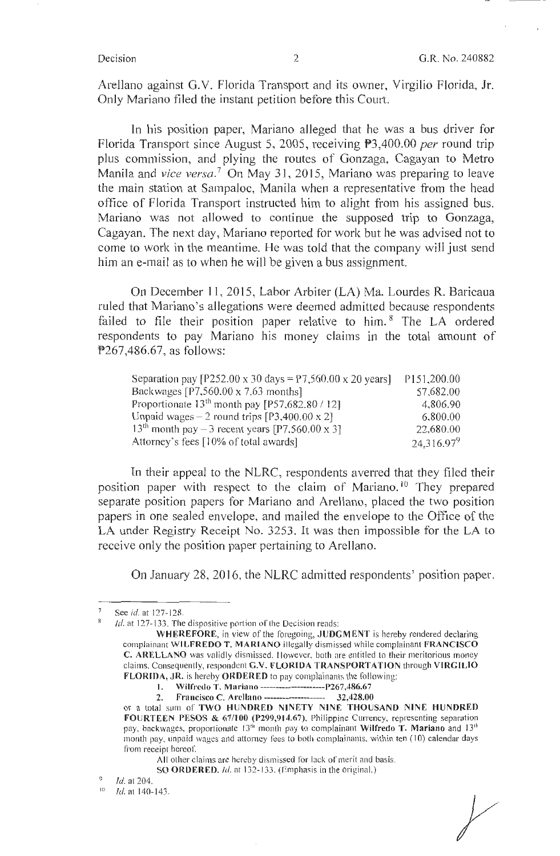Arellano against G.V. Florida Transport and its owner, Virgilio Florida, Jr. Only Mariano filed the instant petition before this Court.

In his position paper, Mariano alleged that he was a bus driver for Florida Transport since August 5, 2005, receiving P3,400.00 *per* round trip plus commission, and plying the routes of Gonzaga, Cagayan to Metro Manila and *vice versa*.<sup>7</sup> On May 31, 2015, Mariano was preparing to leave the main station at Sampaloc, Manila when a representative from the head office of Florida Transport instructed him to alight from his assigned bus. Mariano was not allowed to continue the supposed trip to Gonzaga, Cagayan. The next day, Mariano reported for work but he was advised not to come to work in the meantime. He was told that the company will just send him an e-mail as to when he will be given a bus assignment.

On December 11, 2015, Labor Arbiter (LA) Ma. Lourdes R. Baricaua ruled that Mariano's allegations were deemed admitted because respondents failed to file their position paper relative to him.<sup>8</sup> The LA ordered respondents to pay Mariano his money claims in the total amount of  $P267,486.67$ , as follows:

| Separation pay $[P252.00 \times 30 \text{ days} = P7,560.00 \times 20 \text{ years}]$ | P151,200.00   |
|---------------------------------------------------------------------------------------|---------------|
| Backwages $[P7,560.00 \times 7.63$ months                                             | 57,682.00     |
| Proportionate $13^{th}$ month pay [P57,682.80 / 12]                                   | 4,806.90      |
| Unpaid wages $-2$ round trips [P3,400.00 x 2]                                         | 6,800.00      |
| 13 <sup>th</sup> month pay – 3 recent years [P7,560.00 x 3]                           | 22,680.00     |
| Attorney's fees [10% of total awards]                                                 | $24.316.97^9$ |

In their appeal to the NLRC, respondents averred that they filed their position paper with respect to the claim of Mariano.<sup>10</sup> They prepared separate position papers for Mariano and Arellano, placed the two position papers in one sealed envelope, and mailed the envelope to the Office of the LA under Registry Receipt No. 3253. It was then impossible for the LA to receive only the position paper pertaining to Arellano.

On January 28, 2016, the NLRC admitted respondents' position paper.

See id. at 127-128.

 $Id$ . at 127-133. The dispositive portion of the Decision reads:

**WHEREFORE,** in view of the foregoing, **,JUDGM ENT** is hereby rendered declaring complainant **WILFREDO T. MARIANO** illegally dismissed while complainant **FRANCISCO C. ARELLANO** was validly dismissed. However, both are entitled to their meritorious money claims. Consequently, respondent **G.V. FLORIDA TRANSPORTATION** through **VIRGILIO FLORIDA, JR.** is hereby **ORDERED** to pay complainants the following:

I. **Wilfredo T. Mariano ---------------------P267,486.67** 

**<sup>2.</sup> P'rnncisco C. Arellano-------------------- 32,428.00** 

or a total sum or **TWO HUNDRED NINETY NINE THOUSAND NINE HUNDRED FOURTEEN PESOS** & **67/100 (P299,914.67),** Philippine Currency, representing separation pay, backwages, proportionate 13<sup>th</sup> month pay to complainant Wilfredo T. Mariano and 13<sup>th</sup> month pay, unpaid wages and attorney fees to both complainants, within ten (10) calendar days from receipt hereof.

All other claims are hereby dismissed for lack of merit and basis.

**SO ORDERED.** *lei.* at 132- 133. (Emphasis in the original.)

Id. at 204.

 $10$  Id. at 140-143.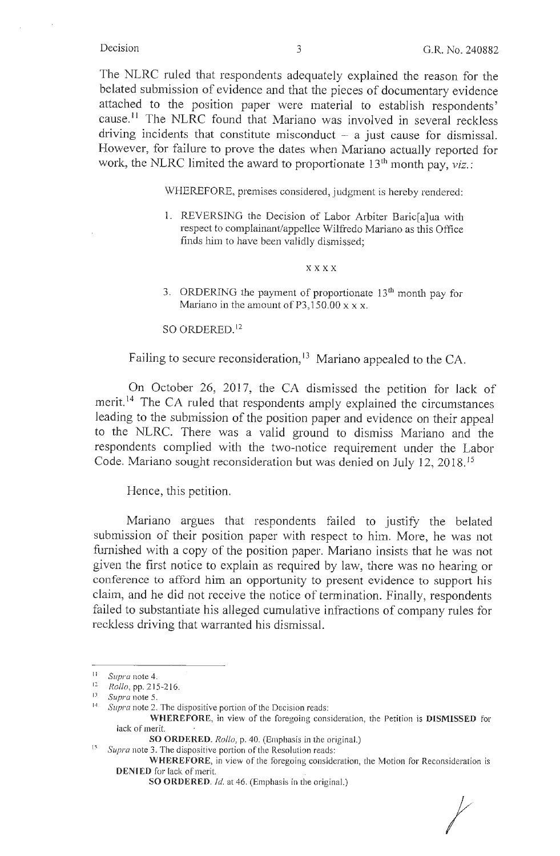The NLRC ruled that respondents adequately explained the reason for the belated submission of evidence and that the pieces of documentary evidence attached to the position paper were material to establish respondents' cause.<sup>11</sup> The NLRC found that Mariano was involved in several reckless driving incidents that constitute misconduct  $-$  a just cause for dismissal. However, for failure to prove the dates when Mariano actually reported for work, the NLRC limited the award to proportionate 13<sup>th</sup> month pay, *viz.*:

WHEREFORE, premises considered, judgment is hereby rendered:

1. REVERSING the Decision of Labor Arbiter Baric[a]ua with respect to complainant/appellee Wilfredo Mariano as this Office finds him to have been validly dismissed;

### xxxx

3. ORDERING the payment of proportionate  $13<sup>th</sup>$  month pay for Mariano in the amount of P3,150.00  $x \times x$ .

SO ORDERED. <sup>12</sup>

Failing to secure reconsideration,<sup>13</sup> Mariano appealed to the CA.

On October 26, 2017, the CA dismissed the petition for lack of merit.<sup>14</sup> The CA ruled that respondents amply explained the circumstances leading to the submission of the position paper and evidence on their appeal to the NLRC. There was a valid ground to dismiss Mariano and the respondents complied with the two-notice requirement under the Labor Code. Mariano sought reconsideration but was denied on July 12, 2018. 15

Hence, this petition.

Mariano argues that respondents failed to justify the belated submission of their position paper with respect to him. More, he was not furnished with a copy of the position paper. Mariano insists that he was not given the first notice to explain as required by law, there was no hearing or conference to afford him an opportunity to present evidence to support his claim, and he did not receive the notice of termination. Finally, respondents failed to substantiate his alleged cumulative infractions of company rules for reckless driving that warranted his dismissal.

**WHEREFORE**, in view of the foregoing consideration, the Motion for Reconsideration is **DENIED** for lack of merit.

*t* 

<sup>11</sup> *Supra* note 4.

<sup>12</sup>*Rollo,* pp. 2 15-2 16.

<sup>13</sup> *Supra* note 5.

Supra note 2. The dispositive portion of the Decision reads:

**WHEREFORE,** in view of the foregoing consideration, the Petition is **DISMISSED** for lack of merit.

**SO ORDERED.** *Rollo,* p. 40. (Emphasis in the original.)

Supra note 3. The dispositive portion of the Resolution reads:

**SO ORDERED.** Id. at 46. (Emphasis in the original.)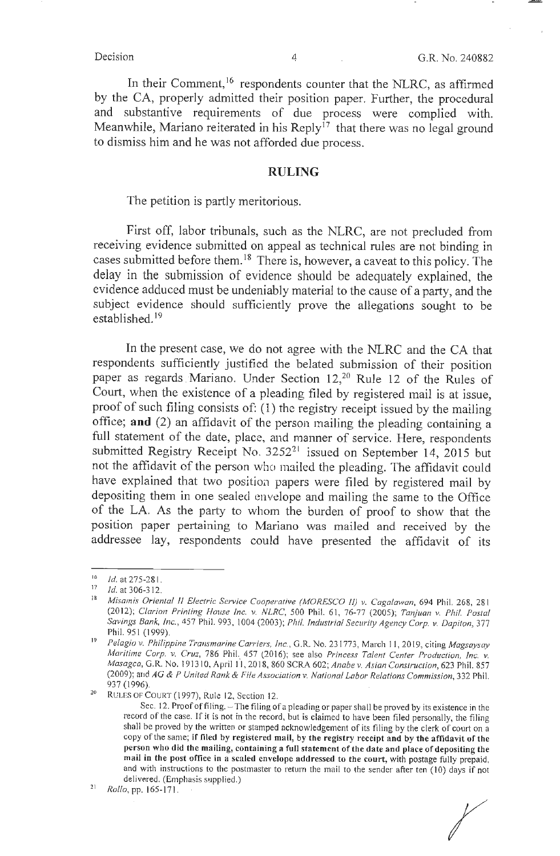In their Comment,<sup>16</sup> respondents counter that the NLRC, as affirmed by the CA, properly admitted their position paper. Further, the procedural and substantive requirements of due process were complied with. Meanwhile, Mariano reiterated in his Reply<sup>17</sup> that there was no legal ground to dismiss him and he was not afforded due process.

## **RULING**

The petition is partly meritorious.

First off, labor tribunals, such as the NLRC, are not precluded from receiving evidence submitted on appeal as technical rules are not binding in cases submitted before them. 18 There is, however, a caveat to this policy. The delay in the submission of evidence should be adequately explained, the evidence adduced must be undeniably material to the cause of a party, and the subject evidence should sufficiently prove the allegations sought to be established.<sup>19</sup>

In the present case, we do not agree with the NLRC and the CA that respondents sufficiently justified the belated submission of their position paper as regards Mariano. Under Section 12,<sup>20</sup> Rule 12 of the Rules of Court, when the existence of a pleading filed by registered mail is at issue, proof of such filing consists of: (1) the registry receipt issued by the mailing office; and  $(2)$  an affidavit of the person mailing the pleading containing a full statement of the date, place, and manner of service. Here, respondents submitted Registry Receipt No.  $3252^{21}$  issued on September 14, 2015 but not the affidavit of the person who mailed the pleading. The affidavit could have explained that two position papers were filed by registered mail by depositing them in one sealed envelope and mailing the same to the Office of the LA. As the party to whom the burden of proof to show that the position paper pertaining to Mariano was mailed and received by the addressee lay, respondents could have presented the affidavit of its

 $\frac{16}{17}$  *Id.* at 275-281.

<sup>&</sup>lt;sup>17</sup> Id. at 306-312.<br><sup>18</sup> *Misamis Oriental II Electric Service Cooperative (MORESCO II) v. Cagalawan, 694 Phil. 268, 28 1* (2012); *Clarion Printing House Inc. v. NLRC*, 500 Phil. 61, 76-77 (2005); *Tanjuan v. Phil. Postal Savings Bank, Inc.,* 457 Phil. 993, I 004 (2003); *Phil. Indus/rial Security Agency Corp. v. Dapilon,* 377 Phil. 951 (1999).

<sup>19</sup>*Pelagio v. Philippine Transmarine Carriers, Inc.,* G.R. No. 23 1773, March 11 , 2019, citing *Magsaysay Maritime Corp. v. Cruz, 786 Phil. 457 (2016); see also Princess Talent Center Production, Inc. v. Masagca, G.R. No. 191310, April 11, 2018, 860 SCRA 602; <i>Anabe v. Asian Construction, 623 Phil. 857* (2009); and *AG & P United Rank & File Association v. National labor Relations Commission,* 332 Phil. 937 (1996).<br><sup>20</sup> RULES OF COURT (1997), Rule 12, Section 12.

Sec. 12. Proof of filing. - The filing of a pleading or paper shall be proved by its existence in the record of the case. If it is not in the record, but is claimed to have been filed personally, the filing shall be proved by the written or stamped acknowledgement of its filing by the clerk of court on a copy of the same; **if filed by registered mail, by the registry receipt and by the affidavit of the person who did the mailing, containing a full statement of the date and place of depositing the mail in the post office in a scaled envelope addressed to the court,** with postage fully prepaid, and with instructions to the postmaster to return the mail to the sender after ten (10) days if not delivered. (Emphasis supplied.)

<sup>&</sup>lt;sup>21</sup> Rollo, pp. 165-171.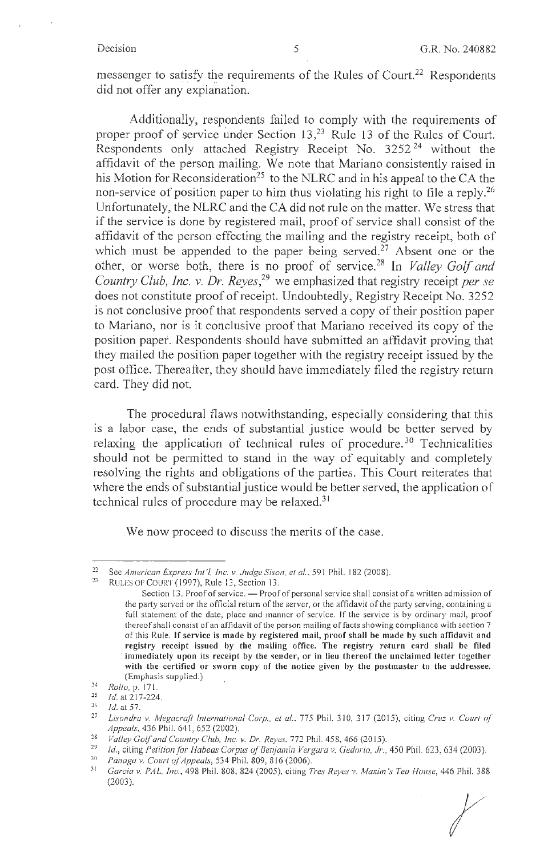messenger to satisfy the requirements of the Rules of Court.<sup>22</sup> Respondents did not offer any explanation.

Additionally, respondents failed to comply with the requirements of proper proof of service under Section 13,<sup>23</sup> Rule 13 of the Rules of Court. Respondents only attached Registry Receipt No. 3252 24 without the affidavit of the person mailing. We note that Mariano consistently raised in his Motion for Reconsideration<sup>25</sup> to the NLRC and in his appeal to the CA the non-service of position paper to him thus violating his right to file a reply.<sup>26</sup> Unfortunately, the NLRC and the CA did not rule on the matter. We stress that if the service is done by registered mail, proof of service shall consist of the affidavit of the person effecting the mailing and the registry receipt, both of which must be appended to the paper being served.<sup>27</sup> Absent one or the other, or worse both, there is no proof of service. 28 In *Valley Golf and Country Club, Inc. v. Dr. Reyes,<sup>29</sup>*we emphasized that registry receipt *per se*  does not constitute proof of receipt. Undoubtedly, Registry Receipt No. 3252 is not conclusive proof that respondents served a copy of their position paper to Mariano, nor is it conclusive proof that Mariano received its copy of the position paper. Respondents should have submitted an affidavit proving that they mailed the position paper together with the registry receipt issued by the post office. Thereafter, they should have immediately filed the registry return card. They did not.

The procedural flaws notwithstanding, especially considering that this is a labor case, the ends of substantial justice would be better served by relaxing the application of technical rules of procedure.<sup>30</sup> Technicalities should not be permitted to stand in the way of equitably and completely resolving the rights and obligations of the parties. This Court reiterates that where the ends of substantial justice would be better served, the application of technical rules of procedure may be relaxed.31

We now proceed to discuss the merits of the case.

*I* 

<sup>22</sup> See *American Express Int '/, Inc. v. Judge Sison, el al.,* 591 Phil. 182 (2008). 23 RULES OF COURT ( 1997), Rule 13, Section 13.

Section 13. Proof of service. - Proof of personal service shall consist of a written admission of the party served or the official return of the server, or the affidavit of the party serving, containing a full statement of the date, place and manner of service. If the service is by ordinary mail, proof thereof shall consist of an affidavit of the person mailing of facts showing compliance with section 7 of this Rule. If service is made by registered mail, proof shall be made by such affidavit and **registry receipt issued by the mailing office. The registry return card shall be filed**  immediately upon its receipt by the sender, or in lieu thereof the unclaimed letter together **with the certified or sworn copy of the notice given by the postmaster to the addressee.**  (Emphasis supplied.)

<sup>24</sup>*Rollo,* p. 17 I.

<sup>&</sup>lt;sup>25</sup> *Id.* at 217-224.<br><sup>26</sup> *Id.* at 57.

<sup>&</sup>lt;sup>27</sup> Lisondra v. Megacraft International Corp., et al., 775 Phil. 310, 317 (2015), citing *Cruz v. Court of Appeals,* 436 Phil. 641, 652 (2002).

<sup>&</sup>lt;sup>28</sup> *Valley Golf and Country Club, Inc. v. Dr. Reyes, 772 Phil.* 458, 466 (2015).<br><sup>29</sup> *Id., citing Petition for Habeas Corpus of Benjamin Vergara v. Gedorio, Jr., 450 Phil. 623, 634 (2003).*<br><sup>30</sup> *Panaga v. Court of App* 

<sup>31</sup>*Garcia v. PAL, Inc.,* 498 Phil. 808,824 (2005), citing *Tres Reyes v. Maxim's Tea House,* 446 Phil. 388 (2003).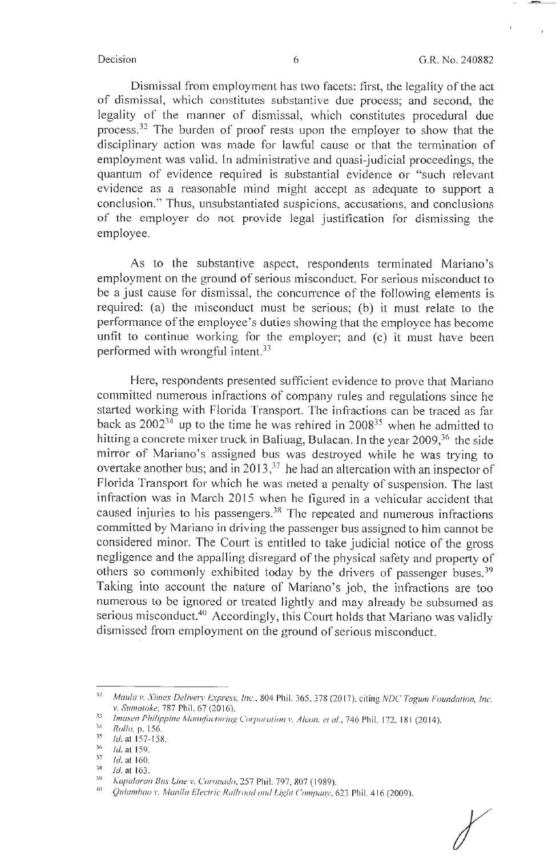Dismissal from employment has two facets: first, the legality of the act of dismissal, which constitutes substantive due process; and second, the legality of the manner of dismissal, which constitutes procedural due process. 32 The burden of proof rests upon the employer to show that the disciplinary action was made for lawful cause or that the termination of employment was valid. In administrative and quasi-judicial proceedings, the quantum of evidence required is substantial evidence or "such relevant evidence as a reasonable mind might accept as adequate to support a conclusion." Thus, unsubstantiated suspicions, accusations, and conclusions of the employer do not provide legal justification for dismissing the employee.

As to the substantive aspect, respondents terminated Mariano's employment on the ground of serious misconduct. For serious misconduct to be a just cause for dismissal, the concurrence of the following elements is required: (a) the misconduct must be serious; (b) it must relate to the performance of the employee's duties showing that the employee has become unfit to continue working for the employer; and (c) it must have been performed with wrongful intent.33

Here, respondents presented sufficient evidence to prove that Mariano committed numerous infractions of company rules and regulations since he started working with Florida Transport. The infractions can be traced as far back as  $2002^{34}$  up to the time he was rehired in  $2008^{35}$  when he admitted to hitting a concrete mixer truck in Baliuag, Bulacan. In the year  $2009<sup>36</sup>$  the side mirror of Mariano's. assigned bus was destroyed while he was trying to overtake another bus; and in 2013,  $37$  he had an altercation with an inspector of Florida Transport for which he was meted a penalty of suspension. The last infraction was in March 2015 when he figured in a vehicular accident that caused injuries to his passengers.<sup>38</sup> The repeated and numerous infractions committed by Mariano in driving the passenger bus assigned to him cannot be considered minor. The Court is entitled to take judicial notice of the gross negligence and the appalling disregard of the physical safety and property of others so commonly exhibited today by the drivers of passenger buses. 39 Taking into account the nature of Mariano's job, the infractions are too numerous to be ignored or treated lightly and may already be subsumed as serious misconduct.<sup>40</sup> Accordingly, this Court holds that Mariano was validly dismissed from employment on the ground of serious misconduct.

<sup>&</sup>lt;sup>32</sup> *Maula v. Ximex Delivery Express, Inc., 804 Phil. 365, 378 (2017), citing NDC Tagum Foundation, Inc. v. Sumatoke*, 787 Phil. 67 (2016).

<sup>·</sup> 1 <sup>33</sup> *Imasen Philippine Manufacturing Corporation v. Alcon, et al., 746 Phil. 172, 181 (2014).*<br><sup>34</sup> **Pulling** *II* 

<sup>35</sup> <sup>4</sup>*Rollo,* p. 156. 35 *Id.* at 157-1S8 .

*Id.* at 159.

 $\frac{37}{38}$ <sup>7</sup>Id. at 160.

<sup>&</sup>lt;sup>38</sup> *Id.* at 163.

*Kapalaran Bus Line v. Coronado, 257 Phil. 797, 807 (1989).* •·

<sup>10</sup>*Q11ia111hao v. Manila Electric Rai/roucl and Ligh1 C'o111pa11y,* 6?.3 Phil. 416 (2009).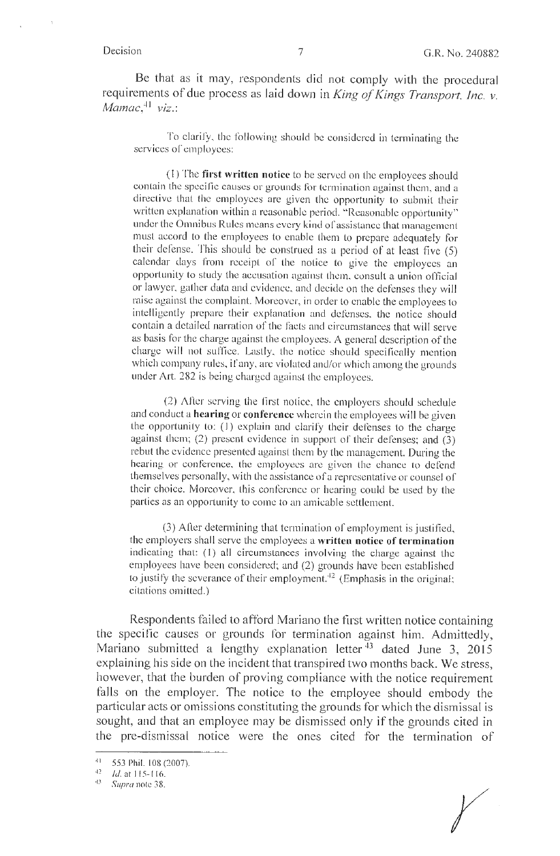Be that as it may, respondents did not comply with the procedural requirements of due process as laid down in *King of Kings Transport, Inc. v. Mamac*,<sup>41</sup> viz.:

To clarify, the following should be considered in terminating the services of employees:

(1) The **first written notice** to be served on the employees should contain the specific causes or grounds for termination against them, and a directive that the employees are given the opportunity to submit their written explanation within a reasonable period. "Reasonable opportunity" under the Omnibus Rules means every kind of assistance that management must accord to the employees to enable them to prepare adequately for their defense. This should be construed as a period of at least five (5) calendar days from receipt of the notice to give the employees an opportunity to study the accusation against them, consult a union official or lawyer, gather data and evidence, and decide on the defenses they will raise against the complaint. Moreover, in order to enable the employees to intelligently prepare their explanation and defenses, the notice should contain a detailed narration of the facts and circumstances that will serve as basis for the charge against the employees. A general description of the charge will not suffice. Lastly, the notice should specifically mention which company rules, if any, arc violated and/or which among the grounds under Art. 282 is being charged against the employees.

(2) After serving the first notice, the employers should schedule and conduct a **hearing or conference** wherein the employees will be given the opportunity to: (1) explain and clarify their defenses to the charge against them; (2) present evidence in support of their defenses; and (3) rebut the evidence presented against them by the management. During the hearing or conference. the employees are given the chance to defend themselves personally, with the assistance of a representative or counsel of their choice. Moreover, this conference or hearing could be used by the parties as an opportunity to come to an amicable settlement.

(3) After determining that termination of employment is justified, the employers shall serve the employees a written notice of termination indicating that: (1) all circumstances involving the charge against the employees have been considered; and (2) grounds have been established to justify the severance of their employment.<sup>42</sup> (Emphasis in the original; citations omitted.)

Respondents failed to afford Mariano the first written notice containing the specific causes or grounds for termination against him. Admittedly, Mariano submitted a lengthy explanation letter  $43$  dated June 3, 2015 explaining his side on the incident that transpired two months back. We stress, however, that the burden of proving compliance with the notice requirement falls on the employer. The notice to the employee should embody the particular acts or omissions constituting the grounds for which the dismissal is sought, and that an employee may be dismissed only if the grounds cited in the pre-dismissal notice were the ones cited for the termination of

<sup>&</sup>lt;sup>41</sup> 553 Phil. 108 (2007).<br><sup>42</sup> *Id.* at 115-116.

<sup>&#</sup>x27;1 Supra note 38.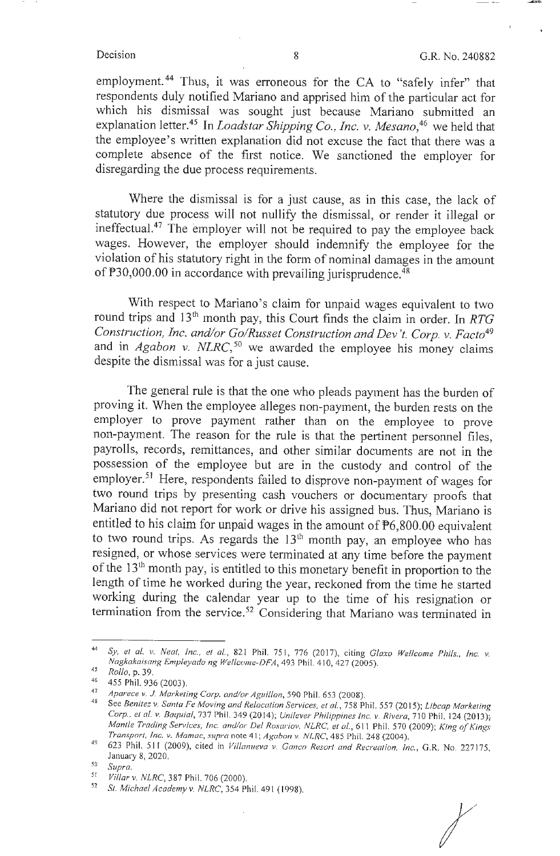employment. 44 Thus, it was erroneous for the CA to "safely infer" that respondents duly notified Mariano and apprised him of the particular act for which his dismissal was sought just because Mariano submitted an explanation letter.<sup>45</sup> In *Loadstar Shipping Co., Inc. v. Mesano*,<sup>46</sup> we held that the employee's written explanation did not excuse the fact that there was a complete absence of the first notice. We sanctioned the employer for disregarding the due process requirements.

Where the dismissal is for a just cause, as in this case, the lack of statutory due process will not nullify the dismissal, or render it illegal or ineffectual.47 The employer will not be required to pay the employee back wages. However, the employer should indemnify the employee for the violation of his statutory right in the form of nominal damages in the amount of  $P30,000.00$  in accordance with prevailing jurisprudence.<sup>48</sup>

With respect to Mariano's claim for unpaid wages equivalent to two round trips and 13th month pay, this Court finds the claim in order. In *RTG Construction, Inc. and/or Go/Russet Construction and Dev 't. Corp. v. Facto49*  and in *Agabon v. NLRC*,<sup>50</sup> we awarded the employee his money claims despite the dismissal was for a just cause.

The general rule is that the one who pleads payment has the burden of proving it. When the employee alleges non-payment, the burden rests on the employer to prove payment rather than on the employee to prove non-payment. The reason for the rule is that the pertinent personnel files, payrolls, records, remittances, and other similar documents are not in the possession of the employee but are in the custody and control of the employer.<sup>51</sup> Here, respondents failed to disprove non-payment of wages for two round trips by presenting cash vouchers or documentary proofs that Mariano did not report for work or drive his assigned bus. Thus, Mariano is entitled to his claim for unpaid wages in the amount of P6,800.00 equivalent to two round trips. As regards the  $13<sup>th</sup>$  month pay, an employee who has resigned, or whose services were terminated at any time before the payment of the 13th month pay, is entitled to this monetary benefit in proportion to the length of time he worked during the year, reckoned from the time he started working during the calendar year up to the time of his resignation or termination from the service.<sup>52</sup> Considering that Mariano was terminated in

<sup>44</sup>*Sy, et al. v. Neat, inc., et al.,* 821 Phil. 75 1, 776 (2017), citing *Glaxo Wellcome Phils., Inc. v. Nagkakaisang Empleyado ng Wellcome-DFA, 493 Phil. 410, 427 (2005).* 

<sup>45</sup>*Rollo,* p. 39.

<sup>46</sup>455 Phil. 936 (2003 ).

<sup>47</sup> 

<sup>&</sup>lt;sup>47</sup> Aparece v. J. Marketing Corp. and/or Aguillon, 590 Phil. 653 (2008).<br><sup>48</sup> See *Benitez v. Santa Fe Moving and Relocation Services, et al., 758 Phil. 557 (2015); <i>Libcap Marketing Corp .. et al. v. Baquia/,* 737 Phil. 349 (2014); *Unilever Philippines Inc. v. Rivera,* 710 Phil. 124 (2013); *Mantle Trading Services, Inc. and/or Del Rosariov. NlRC, et al.,* 6 1 I Phil. 570 (2009); *King of Kings Transport, Inc. v. Mamac, supra* note 41; *Agabon v.* NLRC, 485 Phil. 248 (2004).

<sup>623</sup> Phil. 511 (2009), cited in *Villanueva v. Ganco Resort and Recreation, Inc.*, G.R. No. 227175, January 8, 2020.

so *Supra.* 

<sup>&</sup>lt;sup>51</sup> *Villar v. NLRC*, 387 Phil. 706 (2000).<br><sup>52</sup> St. Mighael Agadamun, MLPC, 354 Phi

<sup>52</sup>*St. Michael Academyv. NLRC,* 354 Phil. 491 ( 1998).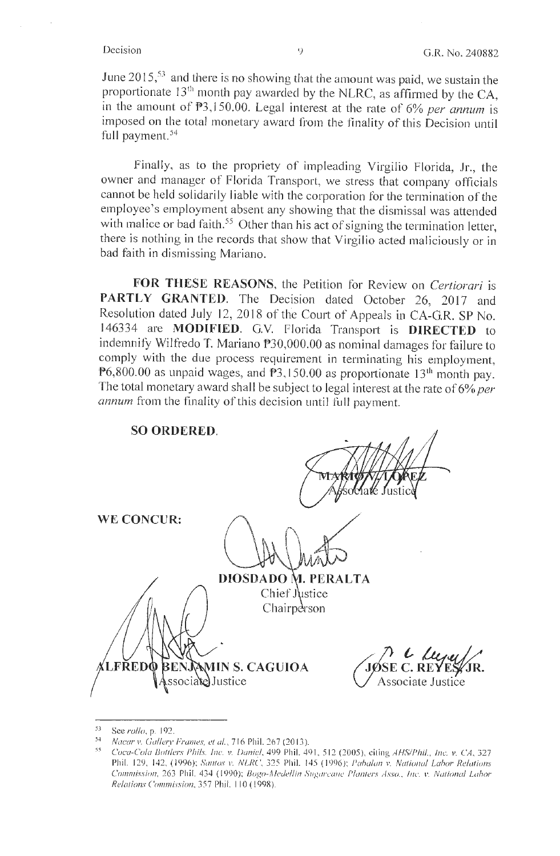June 2015, 53 and there is no showing that the amount was paid, we sustain the proportionate  $13<sup>th</sup>$  month pay awarded by the NLRC, as affirmed by the CA, in the amount of P3, 150.00. Legal interest at the rate of 6% *per annum* is imposed on the total monetary award from the finality of this Decision until full payment.<sup>54</sup>

Finally, as to the propriety of impleading Virgilio Florida, Jr., the owner and manager of Florida Transport, we stress that company officials cannot be held solidarily liable with the corporation for the termination of the employee's employment absent any showing that the dismissal was attended with malice or bad faith.<sup>55</sup> Other than his act of signing the termination letter, there is nothing in the records that show that Virgilio acted maliciously or in bad faith in dismissing Mariano.

**FOR THESE REASONS,** the Petition for Review on *Certiorari* is PARTLY GRANTED. The Decision dated October 26, 2017 and Resolution dated July 12, 2018 of the Court of Appeals in CA-GR. SP No. 146334 are **MODJFIED.** G.V. Florida Transport is **DIRECTED** to indemnify Wilfredo T. Mariano P30,000.00 as nominal damages for failure to comply with the due process requirement in terminating his employment, P6,800.00 as unpaid wages, and  $P3$ , 150.00 as proportionate 13<sup>th</sup> month pay. The total monetary award shall be subject to legal interest at the rate of 6% *per annum* from the finality of this decision until full payment.

| <b>SO ORDERED.</b><br>9E#<br>W<br><i>p</i> sociate Justice                  |
|-----------------------------------------------------------------------------|
| <b>WE CONCUR:</b>                                                           |
| DIOSDADO M. PERALTA<br>Chief Justice<br>Chairperson                         |
| JOSE C. REYES JR.<br><b>ALFREDO BENJAMIN S. CAGUIOA</b><br>ssociate]Justice |

<sup>5,</sup> See *rullo,* p. 192.

<sup>54</sup> Nacar v. Gullery Frames, et al., 716 Phil. 267 (2013).<br>55 Coca Cola Bottlary Phile, *Ing. y. Daniel, 400 Phil. 40* 

<sup>55</sup>*Cuca-Cu/a Butilers Phi ls. Inc. v. Daniel.* 499 Phi l. 49 1, 512 (2005 }, citing *A HS1/Phil., Inc.:. v. CA,* 327 Phil. 129, 142, (1996); *Santos v. NLRC*, 325 Phil. 145 (1996); *Pabalan v. National Labor Relations Commission, 263 Phil. 434 (1990); Bogo-Medellin Sugarcane Planters Asso., Inc. v. National Labor Relations Crm1111issio11,* 357 Phil. I IO ( 1998).